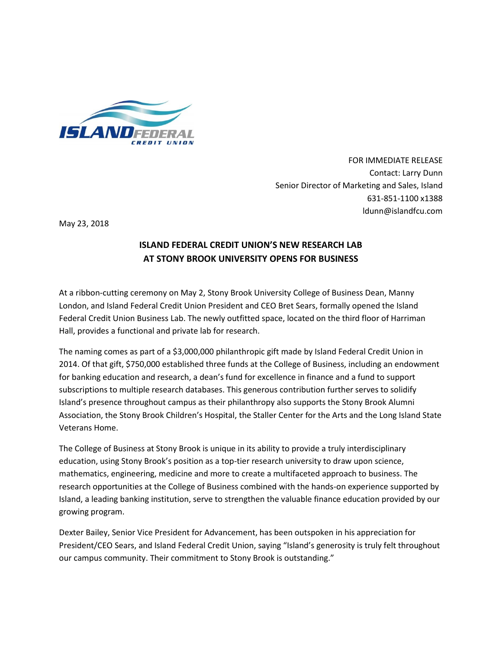

FOR IMMEDIATE RELEASE Contact: Larry Dunn Senior Director of Marketing and Sales, Island 631-851-1100 x1388 ldunn@islandfcu.com

May 23, 2018

## **ISLAND FEDERAL CREDIT UNION'S NEW RESEARCH LAB AT STONY BROOK UNIVERSITY OPENS FOR BUSINESS**

At a ribbon-cutting ceremony on May 2, Stony Brook University College of Business Dean, Manny London, and Island Federal Credit Union President and CEO Bret Sears, formally opened the Island Federal Credit Union Business Lab. The newly outfitted space, located on the third floor of Harriman Hall, provides a functional and private lab for research.

The naming comes as part of a \$3,000,000 philanthropic gift made by Island Federal Credit Union in 2014. Of that gift, \$750,000 established three funds at the College of Business, including an endowment for banking education and research, a dean's fund for excellence in finance and a fund to support subscriptions to multiple research databases. This generous contribution further serves to solidify Island's presence throughout campus as their philanthropy also supports the Stony Brook Alumni Association, the Stony Brook Children's Hospital, the Staller Center for the Arts and the Long Island State Veterans Home.

The College of Business at Stony Brook is unique in its ability to provide a truly interdisciplinary education, using Stony Brook's position as a top-tier research university to draw upon science, mathematics, engineering, medicine and more to create a multifaceted approach to business. The research opportunities at the College of Business combined with the hands-on experience supported by Island, a leading banking institution, serve to strengthen the valuable finance education provided by our growing program.

Dexter Bailey, Senior Vice President for Advancement, has been outspoken in his appreciation for President/CEO Sears, and Island Federal Credit Union, saying "Island's generosity is truly felt throughout our campus community. Their commitment to Stony Brook is outstanding."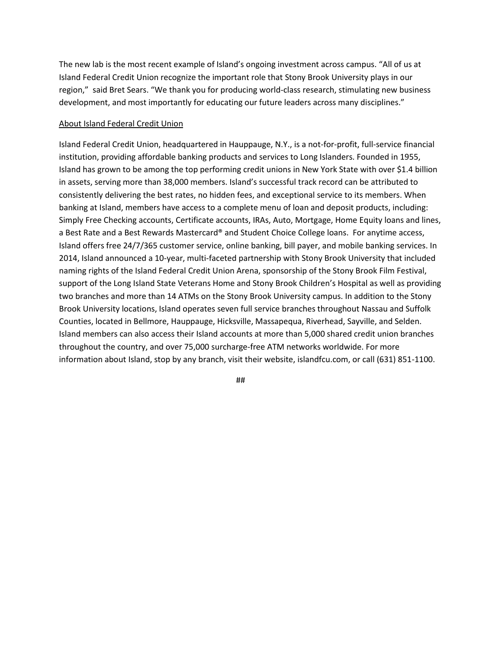The new lab is the most recent example of Island's ongoing investment across campus. "All of us at Island Federal Credit Union recognize the important role that Stony Brook University plays in our region," said Bret Sears. "We thank you for producing world-class research, stimulating new business development, and most importantly for educating our future leaders across many disciplines."

## About Island Federal Credit Union

Island Federal Credit Union, headquartered in Hauppauge, N.Y., is a not-for-profit, full-service financial institution, providing affordable banking products and services to Long Islanders. Founded in 1955, Island has grown to be among the top performing credit unions in New York State with over \$1.4 billion in assets, serving more than 38,000 members. Island's successful track record can be attributed to consistently delivering the best rates, no hidden fees, and exceptional service to its members. When banking at Island, members have access to a complete menu of loan and deposit products, including: Simply Free Checking accounts, Certificate accounts, IRAs, Auto, Mortgage, Home Equity loans and lines, a Best Rate and a Best Rewards Mastercard® and Student Choice College loans. For anytime access, Island offers free 24/7/365 customer service, online banking, bill payer, and mobile banking services. In 2014, Island announced a 10-year, multi-faceted partnership with Stony Brook University that included naming rights of the Island Federal Credit Union Arena, sponsorship of the Stony Brook Film Festival, support of the Long Island State Veterans Home and Stony Brook Children's Hospital as well as providing two branches and more than 14 ATMs on the Stony Brook University campus. In addition to the Stony Brook University locations, Island operates seven full service branches throughout Nassau and Suffolk Counties, located in Bellmore, Hauppauge, Hicksville, Massapequa, Riverhead, Sayville, and Selden. Island members can also access their Island accounts at more than 5,000 shared credit union branches throughout the country, and over 75,000 surcharge-free ATM networks worldwide. For more information about Island, stop by any branch, visit their website, islandfcu.com, or call (631) 851-1100.

##